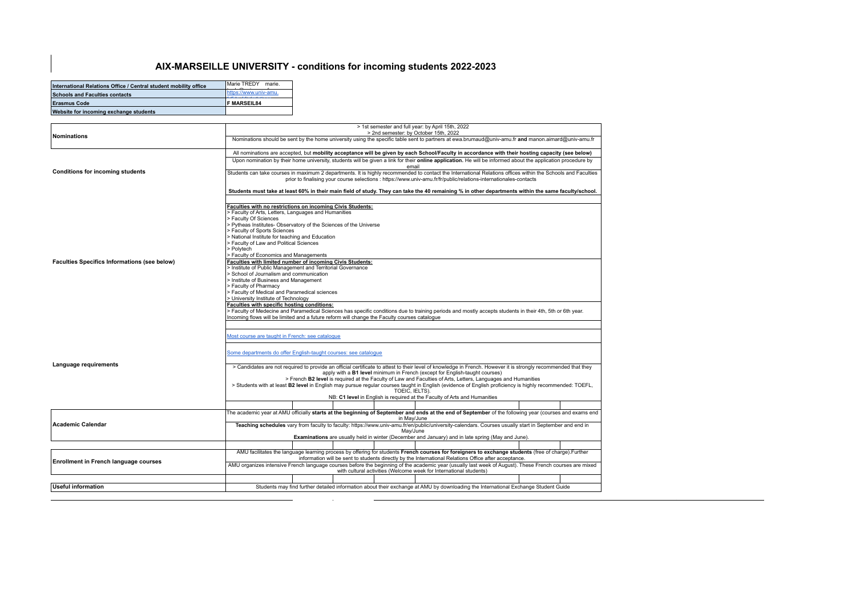## **AIX-MARSEILLE UNIVERSITY - conditions for incoming students 2022-2023**

| International Relations Office / Central student mobility office | <b>I Marie TREDY</b><br>marie. |
|------------------------------------------------------------------|--------------------------------|
| <b>Schools and Faculties contacts</b>                            | https://www.univ-amu.          |
| <b>Erasmus Code</b>                                              | <b>F MARSEIL84</b>             |
| Website for incoming exchange students                           |                                |

|                                                     | > 1st semester and full year: by April 15th, 2022<br>> 2nd semester: by October 15th, 2022                                                                                                                                                                                                                                                                                                                                                                                                                                                                                                                                                                                                                                                                                                                                                                                                                                                                                                                                                             |  |  |  |  |  |  |  |
|-----------------------------------------------------|--------------------------------------------------------------------------------------------------------------------------------------------------------------------------------------------------------------------------------------------------------------------------------------------------------------------------------------------------------------------------------------------------------------------------------------------------------------------------------------------------------------------------------------------------------------------------------------------------------------------------------------------------------------------------------------------------------------------------------------------------------------------------------------------------------------------------------------------------------------------------------------------------------------------------------------------------------------------------------------------------------------------------------------------------------|--|--|--|--|--|--|--|
| <b>Nominations</b>                                  | Nominations should be sent by the home university using the specific table sent to partners at ewa.brumaud@univ-amu.fr and manon.aimard@univ-amu.fr                                                                                                                                                                                                                                                                                                                                                                                                                                                                                                                                                                                                                                                                                                                                                                                                                                                                                                    |  |  |  |  |  |  |  |
|                                                     | All nominations are accepted, but mobility acceptance will be given by each School/Faculty in accordance with their hosting capacity (see below)                                                                                                                                                                                                                                                                                                                                                                                                                                                                                                                                                                                                                                                                                                                                                                                                                                                                                                       |  |  |  |  |  |  |  |
|                                                     | Upon nomination by their home university, students will be given a link for their online application. He will be informed about the application procedure by<br>email                                                                                                                                                                                                                                                                                                                                                                                                                                                                                                                                                                                                                                                                                                                                                                                                                                                                                  |  |  |  |  |  |  |  |
| <b>Conditions for incoming students</b>             | Students can take courses in maximum 2 departments. It is highly recommended to contact the International Relations offices within the Schools and Faculties<br>prior to finalising your course selections : https://www.univ-amu.fr/fr/public/relations-internationales-contacts                                                                                                                                                                                                                                                                                                                                                                                                                                                                                                                                                                                                                                                                                                                                                                      |  |  |  |  |  |  |  |
|                                                     | Students must take at least 60% in their main field of study. They can take the 40 remaining % in other departments within the same faculty/school.                                                                                                                                                                                                                                                                                                                                                                                                                                                                                                                                                                                                                                                                                                                                                                                                                                                                                                    |  |  |  |  |  |  |  |
| <b>Faculties Specifics Informations (see below)</b> | Faculties with no restrictions on incoming Civis Students:<br>> Faculty of Arts, Letters, Languages and Humanities<br>> Faculty Of Sciences<br>> Pytheas Institutes- Observatory of the Sciences of the Universe<br>> Faculty of Sports Sciences<br>> National Institute for teaching and Education<br>> Faculty of Law and Political Sciences<br>> Polytech<br>> Faculty of Economics and Managements<br>Faculties with limited number of incoming Civis Students:<br>> Institute of Public Management and Territorial Governance<br>> School of Journalism and communication<br>> Institute of Business and Management<br>> Faculty of Pharmacy<br>> Faculty of Medical and Paramedical sciences<br>> University Institute of Technology<br>Faculties with specific hosting conditions:<br>> Faculty of Medecine and Paramedical Sciences has specific conditions due to training periods and mostly accepts students in their 4th, 5th or 6th year.<br>Incoming flows will be limited and a future reform will change the Faculty courses catalogue |  |  |  |  |  |  |  |
| Language requirements                               | Most course are taught in French: see catalogue<br>Some departments do offer English-taught courses: see catalogue<br>> Candidates are not required to provide an official certificate to attest to their level of knowledge in French. However it is strongly recommended that they                                                                                                                                                                                                                                                                                                                                                                                                                                                                                                                                                                                                                                                                                                                                                                   |  |  |  |  |  |  |  |
|                                                     | apply with a B1 level minimum in French (except for English-taught courses)<br>> French B2 level is required at the Faculty of Law and Faculties of Arts, Letters, Languages and Humanities<br>> Students with at least B2 level in English may pursue regular courses taught in English (evidence of English proficiency is highly recommended: TOEFL,<br>TOEIC, IELTS).<br>NB: C1 level in English is required at the Faculty of Arts and Humanities                                                                                                                                                                                                                                                                                                                                                                                                                                                                                                                                                                                                 |  |  |  |  |  |  |  |
|                                                     | The academic year at AMU officially starts at the beginning of September and ends at the end of September of the following year (courses and exams end<br>in May/June                                                                                                                                                                                                                                                                                                                                                                                                                                                                                                                                                                                                                                                                                                                                                                                                                                                                                  |  |  |  |  |  |  |  |
| <b>Academic Calendar</b>                            | Teaching schedules vary from faculty to faculty: https://www.univ-amu.fr/en/public/university-calendars. Courses usually start in September and end in<br>May/June                                                                                                                                                                                                                                                                                                                                                                                                                                                                                                                                                                                                                                                                                                                                                                                                                                                                                     |  |  |  |  |  |  |  |
|                                                     | Examinations are usually held in winter (December and January) and in late spring (May and June).                                                                                                                                                                                                                                                                                                                                                                                                                                                                                                                                                                                                                                                                                                                                                                                                                                                                                                                                                      |  |  |  |  |  |  |  |
|                                                     |                                                                                                                                                                                                                                                                                                                                                                                                                                                                                                                                                                                                                                                                                                                                                                                                                                                                                                                                                                                                                                                        |  |  |  |  |  |  |  |
| <b>Enrollment in French language courses</b>        | AMU facilitates the language learning process by offering for students French courses for foreigners to exchange students (free of charge). Further<br>information will be sent to students directly by the International Relations Office after acceptance.<br>AMU organizes intensive French language courses before the beginning of the academic year (usually last week of August). These French courses are mixed                                                                                                                                                                                                                                                                                                                                                                                                                                                                                                                                                                                                                                |  |  |  |  |  |  |  |
|                                                     | with cultural activities (Welcome week for International students)                                                                                                                                                                                                                                                                                                                                                                                                                                                                                                                                                                                                                                                                                                                                                                                                                                                                                                                                                                                     |  |  |  |  |  |  |  |
|                                                     |                                                                                                                                                                                                                                                                                                                                                                                                                                                                                                                                                                                                                                                                                                                                                                                                                                                                                                                                                                                                                                                        |  |  |  |  |  |  |  |
| <b>Useful information</b>                           | Students may find further detailed information about their exchange at AMU by downloading the International Exchange Student Guide                                                                                                                                                                                                                                                                                                                                                                                                                                                                                                                                                                                                                                                                                                                                                                                                                                                                                                                     |  |  |  |  |  |  |  |